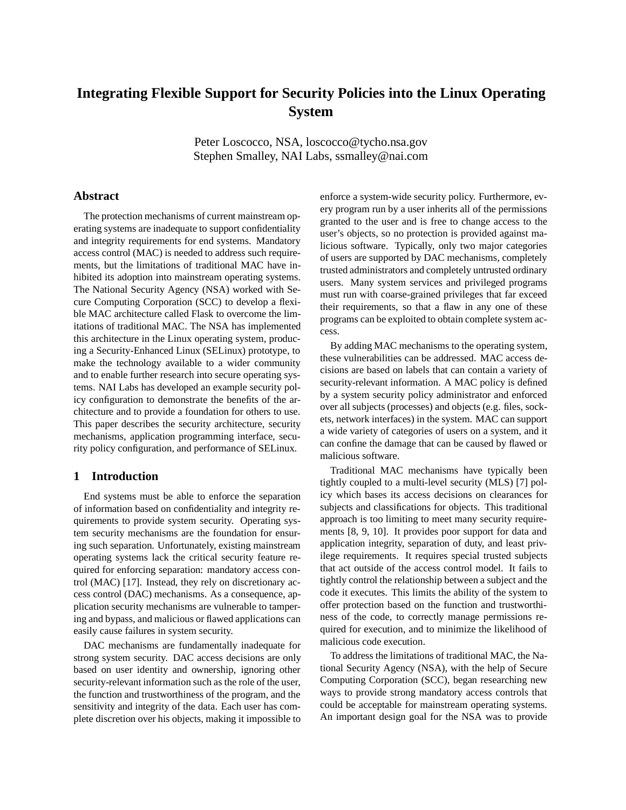# **Integrating Flexible Support for Security Policies into the Linux Operating System**

Peter Loscocco, NSA, loscocco@tycho.nsa.gov Stephen Smalley, NAI Labs, ssmalley@nai.com

## **Abstract**

The protection mechanisms of current mainstream operating systems are inadequate to support confidentiality and integrity requirements for end systems. Mandatory access control (MAC) is needed to address such requirements, but the limitations of traditional MAC have inhibited its adoption into mainstream operating systems. The National Security Agency (NSA) worked with Secure Computing Corporation (SCC) to develop a flexible MAC architecture called Flask to overcome the limitations of traditional MAC. The NSA has implemented this architecture in the Linux operating system, producing a Security-Enhanced Linux (SELinux) prototype, to make the technology available to a wider community and to enable further research into secure operating systems. NAI Labs has developed an example security policy configuration to demonstrate the benefits of the architecture and to provide a foundation for others to use. This paper describes the security architecture, security mechanisms, application programming interface, security policy configuration, and performance of SELinux.

## **1 Introduction**

End systems must be able to enforce the separation of information based on confidentiality and integrity requirements to provide system security. Operating system security mechanisms are the foundation for ensuring such separation. Unfortunately, existing mainstream operating systems lack the critical security feature required for enforcing separation: mandatory access control (MAC) [17]. Instead, they rely on discretionary access control (DAC) mechanisms. As a consequence, application security mechanisms are vulnerable to tampering and bypass, and malicious or flawed applications can easily cause failures in system security.

DAC mechanisms are fundamentally inadequate for strong system security. DAC access decisions are only based on user identity and ownership, ignoring other security-relevant information such as the role of the user, the function and trustworthiness of the program, and the sensitivity and integrity of the data. Each user has complete discretion over his objects, making it impossible to enforce a system-wide security policy. Furthermore, every program run by a user inherits all of the permissions granted to the user and is free to change access to the user's objects, so no protection is provided against malicious software. Typically, only two major categories of users are supported by DAC mechanisms, completely trusted administrators and completely untrusted ordinary users. Many system services and privileged programs must run with coarse-grained privileges that far exceed their requirements, so that a flaw in any one of these programs can be exploited to obtain complete system access.

By adding MAC mechanisms to the operating system, these vulnerabilities can be addressed. MAC access decisions are based on labels that can contain a variety of security-relevant information. A MAC policy is defined by a system security policy administrator and enforced over all subjects (processes) and objects (e.g. files, sockets, network interfaces) in the system. MAC can support a wide variety of categories of users on a system, and it can confine the damage that can be caused by flawed or malicious software.

Traditional MAC mechanisms have typically been tightly coupled to a multi-level security (MLS) [7] policy which bases its access decisions on clearances for subjects and classifications for objects. This traditional approach is too limiting to meet many security requirements [8, 9, 10]. It provides poor support for data and application integrity, separation of duty, and least privilege requirements. It requires special trusted subjects that act outside of the access control model. It fails to tightly control the relationship between a subject and the code it executes. This limits the ability of the system to offer protection based on the function and trustworthiness of the code, to correctly manage permissions required for execution, and to minimize the likelihood of malicious code execution.

To address the limitations of traditional MAC, the National Security Agency (NSA), with the help of Secure Computing Corporation (SCC), began researching new ways to provide strong mandatory access controls that could be acceptable for mainstream operating systems. An important design goal for the NSA was to provide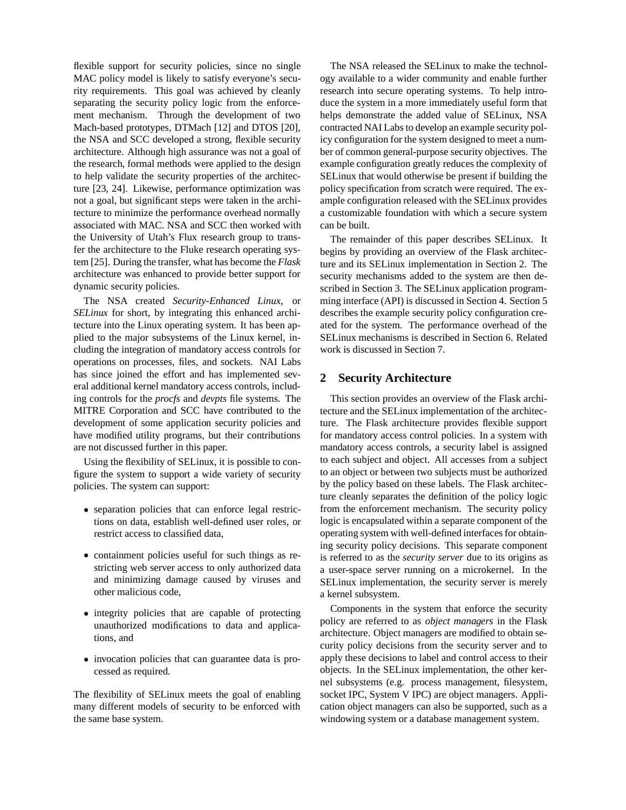flexible support for security policies, since no single MAC policy model is likely to satisfy everyone's security requirements. This goal was achieved by cleanly separating the security policy logic from the enforcement mechanism. Through the development of two Mach-based prototypes, DTMach [12] and DTOS [20], the NSA and SCC developed a strong, flexible security architecture. Although high assurance was not a goal of the research, formal methods were applied to the design to help validate the security properties of the architecture [23, 24]. Likewise, performance optimization was not a goal, but significant steps were taken in the architecture to minimize the performance overhead normally associated with MAC. NSA and SCC then worked with the University of Utah's Flux research group to transfer the architecture to the Fluke research operating system [25]. During the transfer, what has become the *Flask*  architecture was enhanced to provide better support for dynamic security policies.

The NSA created *Security-Enhanced Linux*, or *SELinux* for short, by integrating this enhanced architecture into the Linux operating system. It has been applied to the major subsystems of the Linux kernel, including the integration of mandatory access controls for operations on processes, files, and sockets. NAI Labs has since joined the effort and has implemented several additional kernel mandatory access controls, including controls for the *procfs* and *devpts* file systems. The MITRE Corporation and SCC have contributed to the development of some application security policies and have modified utility programs, but their contributions are not discussed further in this paper.

Using the flexibility of SELinux, it is possible to configure the system to support a wide variety of security policies. The system can support:

- � separation policies that can enforce legal restrictions on data, establish well-defined user roles, or restrict access to classified data,
- � containment policies useful for such things as restricting web server access to only authorized data and minimizing damage caused by viruses and other malicious code,
- � integrity policies that are capable of protecting unauthorized modifications to data and applications, and
- � invocation policies that can guarantee data is processed as required.

The flexibility of SELinux meets the goal of enabling many different models of security to be enforced with the same base system.

The NSA released the SELinux to make the technology available to a wider community and enable further research into secure operating systems. To help introduce the system in a more immediately useful form that helps demonstrate the added value of SELinux, NSA contracted NAI Labs to develop an example security policy configuration for the system designed to meet a number of common general-purpose security objectives. The example configuration greatly reduces the complexity of SELinux that would otherwise be present if building the policy specification from scratch were required. The example configuration released with the SELinux provides a customizable foundation with which a secure system can be built.

The remainder of this paper describes SELinux. It begins by providing an overview of the Flask architecture and its SELinux implementation in Section 2. The security mechanisms added to the system are then described in Section 3. The SELinux application programming interface (API) is discussed in Section 4. Section 5 describes the example security policy configuration created for the system. The performance overhead of the SELinux mechanisms is described in Section 6. Related work is discussed in Section 7.

# **2 Security Architecture**

This section provides an overview of the Flask architecture and the SELinux implementation of the architecture. The Flask architecture provides flexible support for mandatory access control policies. In a system with mandatory access controls, a security label is assigned to each subject and object. All accesses from a subject to an object or between two subjects must be authorized by the policy based on these labels. The Flask architecture cleanly separates the definition of the policy logic from the enforcement mechanism. The security policy logic is encapsulated within a separate component of the operating system with well-defined interfaces for obtaining security policy decisions. This separate component is referred to as the *security server* due to its origins as a user-space server running on a microkernel. In the SELinux implementation, the security server is merely a kernel subsystem.

Components in the system that enforce the security policy are referred to as *object managers* in the Flask architecture. Object managers are modified to obtain security policy decisions from the security server and to apply these decisions to label and control access to their objects. In the SELinux implementation, the other kernel subsystems (e.g. process management, filesystem, socket IPC, System V IPC) are object managers. Application object managers can also be supported, such as a windowing system or a database management system.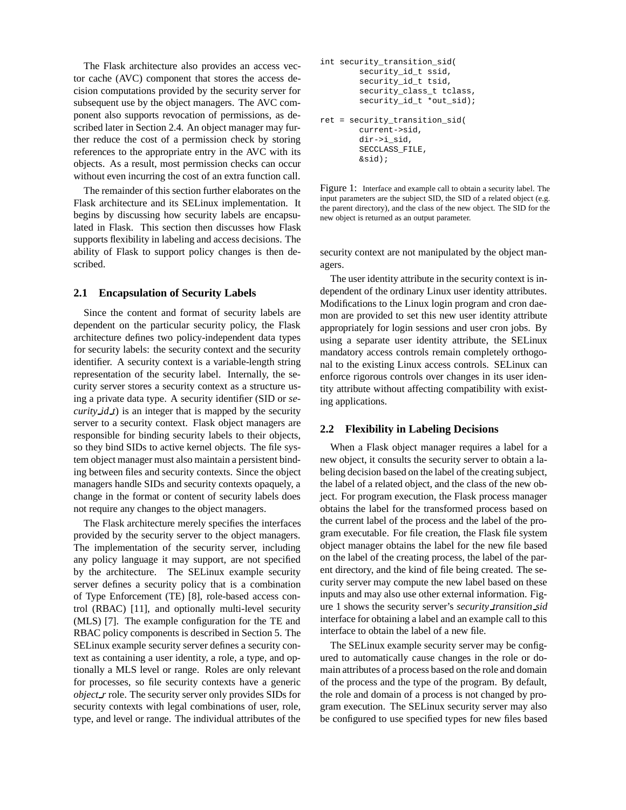The Flask architecture also provides an access vector cache (AVC) component that stores the access decision computations provided by the security server for subsequent use by the object managers. The AVC component also supports revocation of permissions, as described later in Section 2.4. An object manager may further reduce the cost of a permission check by storing references to the appropriate entry in the AVC with its objects. As a result, most permission checks can occur without even incurring the cost of an extra function call.

The remainder of this section further elaborates on the Flask architecture and its SELinux implementation. It begins by discussing how security labels are encapsulated in Flask. This section then discusses how Flask supports flexibility in labeling and access decisions. The ability of Flask to support policy changes is then described.

## **2.1 Encapsulation of Security Labels**

Since the content and format of security labels are dependent on the particular security policy, the Flask architecture defines two policy-independent data types for security labels: the security context and the security identifier. A security context is a variable-length string representation of the security label. Internally, the security server stores a security context as a structure using a private data type. A security identifier (SID or *security id t*) is an integer that is mapped by the security server to a security context. Flask object managers are responsible for binding security labels to their objects, so they bind SIDs to active kernel objects. The file system object manager must also maintain a persistent binding between files and security contexts. Since the object managers handle SIDs and security contexts opaquely, a change in the format or content of security labels does not require any changes to the object managers.

The Flask architecture merely specifies the interfaces provided by the security server to the object managers. The implementation of the security server, including any policy language it may support, are not specified by the architecture. The SELinux example security server defines a security policy that is a combination of Type Enforcement (TE) [8], role-based access control (RBAC) [11], and optionally multi-level security (MLS) [7]. The example configuration for the TE and RBAC policy components is described in Section 5. The SELinux example security server defines a security context as containing a user identity, a role, a type, and optionally a MLS level or range. Roles are only relevant for processes, so file security contexts have a generic *object r* role. The security server only provides SIDs for security contexts with legal combinations of user, role, type, and level or range. The individual attributes of the

```
int security_transition_sid(
        security_id_t ssid,
        security_id_t tsid,
        security_class_t tclass,
        security_id_t *out_sid);
ret = security_transition_sid(
        current->sid,
        dir->i_sid,
        SECCLASS_FILE,
        &sid);
```
Figure 1: Interface and example call to obtain a security label. The input parameters are the subject SID, the SID of a related object (e.g. the parent directory), and the class of the new object. The SID for the new object is returned as an output parameter.

security context are not manipulated by the object managers.

The user identity attribute in the security context is independent of the ordinary Linux user identity attributes. Modifications to the Linux login program and cron daemon are provided to set this new user identity attribute appropriately for login sessions and user cron jobs. By using a separate user identity attribute, the SELinux mandatory access controls remain completely orthogonal to the existing Linux access controls. SELinux can enforce rigorous controls over changes in its user identity attribute without affecting compatibility with existing applications.

#### **2.2 Flexibility in Labeling Decisions**

When a Flask object manager requires a label for a new object, it consults the security server to obtain a labeling decision based on the label of the creating subject, the label of a related object, and the class of the new object. For program execution, the Flask process manager obtains the label for the transformed process based on the current label of the process and the label of the program executable. For file creation, the Flask file system object manager obtains the label for the new file based on the label of the creating process, the label of the parent directory, and the kind of file being created. The security server may compute the new label based on these inputs and may also use other external information. Figure 1 shows the security server's *security transition sid*  interface for obtaining a label and an example call to this interface to obtain the label of a new file.

The SELinux example security server may be configured to automatically cause changes in the role or domain attributes of a process based on the role and domain of the process and the type of the program. By default, the role and domain of a process is not changed by program execution. The SELinux security server may also be configured to use specified types for new files based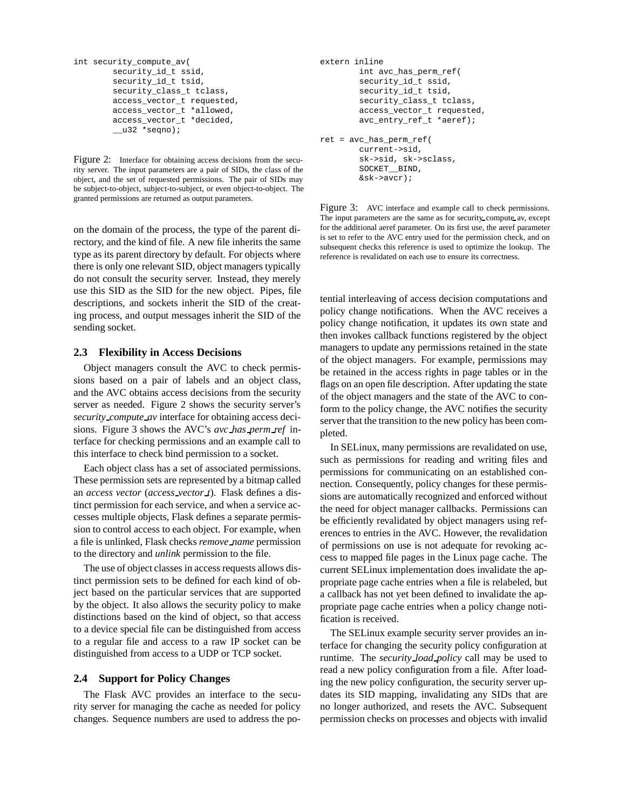```
int security_compute_av(

      security_id_t ssid,
       security_id_t tsid,
       security_class_t tclass,
       access_vector_t requested,
       access_vector_t *allowed,
       access_vector_t *decided,
       \_\_u32 *seqno);
```
Figure 2: Interface for obtaining access decisions from the security server. The input parameters are a pair of SIDs, the class of the object, and the set of requested permissions. The pair of SIDs may be subject-to-object, subject-to-subject, or even object-to-object. The granted permissions are returned as output parameters.

on the domain of the process, the type of the parent directory, and the kind of file. A new file inherits the same type as its parent directory by default. For objects where there is only one relevant SID, object managers typically do not consult the security server. Instead, they merely use this SID as the SID for the new object. Pipes, file descriptions, and sockets inherit the SID of the creating process, and output messages inherit the SID of the sending socket.

## **2.3 Flexibility in Access Decisions**

Object managers consult the AVC to check permissions based on a pair of labels and an object class, and the AVC obtains access decisions from the security server as needed. Figure 2 shows the security server's *security compute av* interface for obtaining access decisions. Figure 3 shows the AVC's *avc has perm ref* interface for checking permissions and an example call to this interface to check bind permission to a socket.

Each object class has a set of associated permissions. These permission sets are represented by a bitmap called an *access vector* (*access vector t*). Flask defines a distinct permission for each service, and when a service accesses multiple objects, Flask defines a separate permission to control access to each object. For example, when a file is unlinked, Flask checks *remove name* permission to the directory and *unlink* permission to the file.

The use of object classes in access requests allows distinct permission sets to be defined for each kind of object based on the particular services that are supported by the object. It also allows the security policy to make distinctions based on the kind of object, so that access to a device special file can be distinguished from access to a regular file and access to a raw IP socket can be distinguished from access to a UDP or TCP socket.

## **2.4 Support for Policy Changes**

The Flask AVC provides an interface to the security server for managing the cache as needed for policy changes. Sequence numbers are used to address the po-

```
extern inline

        int avc_has_perm_ref(
        security_id_t ssid,
        security_id_t tsid,
        security_class_t tclass,
        access_vector_t requested,
        avc_entry_ref_t *aeref);
ret = avc_has_perm_ref(
        current->sid,
        sk->sid, sk->sclass,
        SOCKET__BIND,
        &sk->avcr);
```
Figure 3: AVC interface and example call to check permissions. The input parameters are the same as for security compute av, except for the additional aeref parameter. On its first use, the aeref parameter is set to refer to the AVC entry used for the permission check, and on subsequent checks this reference is used to optimize the lookup. The reference is revalidated on each use to ensure its correctness.

tential interleaving of access decision computations and policy change notifications. When the AVC receives a policy change notification, it updates its own state and then invokes callback functions registered by the object managers to update any permissions retained in the state of the object managers. For example, permissions may be retained in the access rights in page tables or in the flags on an open file description. After updating the state of the object managers and the state of the AVC to conform to the policy change, the AVC notifies the security server that the transition to the new policy has been completed.

In SELinux, many permissions are revalidated on use, such as permissions for reading and writing files and permissions for communicating on an established connection. Consequently, policy changes for these permissions are automatically recognized and enforced without the need for object manager callbacks. Permissions can be efficiently revalidated by object managers using references to entries in the AVC. However, the revalidation of permissions on use is not adequate for revoking access to mapped file pages in the Linux page cache. The current SELinux implementation does invalidate the appropriate page cache entries when a file is relabeled, but a callback has not yet been defined to invalidate the appropriate page cache entries when a policy change notification is received.

The SELinux example security server provides an interface for changing the security policy configuration at runtime. The *security load policy* call may be used to read a new policy configuration from a file. After loading the new policy configuration, the security server updates its SID mapping, invalidating any SIDs that are no longer authorized, and resets the AVC. Subsequent permission checks on processes and objects with invalid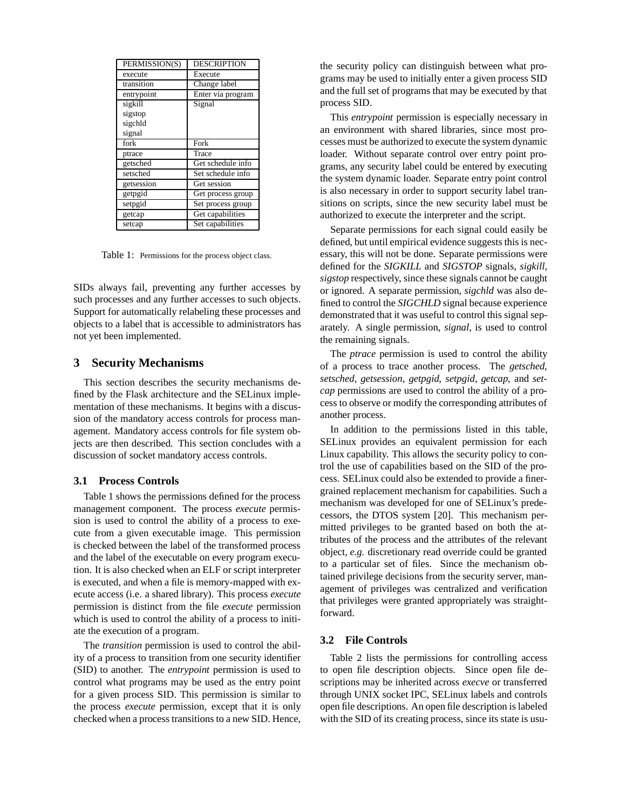| PERMISSION(S) | <b>DESCRIPTION</b> |
|---------------|--------------------|
| execute       | Execute            |
| transition    | Change label       |
| entrypoint    | Enter via program  |
| sigkill       | Signal             |
| sigstop       |                    |
| sigchld       |                    |
| signal        |                    |
| fork          | Fork               |
| ptrace        | Trace              |
| getsched      | Get schedule info  |
| setsched      | Set schedule info  |
| getsession    | Get session        |
| getpgid       | Get process group  |
| setpgid       | Set process group  |
| getcap        | Get capabilities   |
| setcap        | Set capabilities   |

Table 1: Permissions for the process object class.

SIDs always fail, preventing any further accesses by such processes and any further accesses to such objects. Support for automatically relabeling these processes and objects to a label that is accessible to administrators has not yet been implemented.

## **3 Security Mechanisms**

This section describes the security mechanisms defined by the Flask architecture and the SELinux implementation of these mechanisms. It begins with a discussion of the mandatory access controls for process management. Mandatory access controls for file system objects are then described. This section concludes with a discussion of socket mandatory access controls.

#### **3.1 Process Controls**

Table 1 shows the permissions defined for the process management component. The process *execute* permission is used to control the ability of a process to execute from a given executable image. This permission is checked between the label of the transformed process and the label of the executable on every program execution. It is also checked when an ELF or script interpreter is executed, and when a file is memory-mapped with execute access (i.e. a shared library). This process *execute*  permission is distinct from the file *execute* permission which is used to control the ability of a process to initiate the execution of a program.

The *transition* permission is used to control the ability of a process to transition from one security identifier (SID) to another. The *entrypoint* permission is used to control what programs may be used as the entry point for a given process SID. This permission is similar to the process *execute* permission, except that it is only checked when a process transitions to a new SID. Hence,

the security policy can distinguish between what programs may be used to initially enter a given process SID and the full set of programs that may be executed by that process SID.

This *entrypoint* permission is especially necessary in an environment with shared libraries, since most processes must be authorized to execute the system dynamic loader. Without separate control over entry point programs, any security label could be entered by executing the system dynamic loader. Separate entry point control is also necessary in order to support security label transitions on scripts, since the new security label must be authorized to execute the interpreter and the script.

Separate permissions for each signal could easily be defined, but until empirical evidence suggests this is necessary, this will not be done. Separate permissions were defined for the *SIGKILL* and *SIGSTOP* signals, *sigkill*, *sigstop* respectively, since these signals cannot be caught or ignored. A separate permission, *sigchld* was also defined to control the *SIGCHLD* signal because experience demonstrated that it was useful to control this signal separately. A single permission, *signal*, is used to control the remaining signals.

The *ptrace* permission is used to control the ability of a process to trace another process. The *getsched*, *setsched*, *getsession*, *getpgid*, *setpgid*, *getcap*, and *setcap* permissions are used to control the ability of a process to observe or modify the corresponding attributes of another process.

In addition to the permissions listed in this table, SELinux provides an equivalent permission for each Linux capability. This allows the security policy to control the use of capabilities based on the SID of the process. SELinux could also be extended to provide a finergrained replacement mechanism for capabilities. Such a mechanism was developed for one of SELinux's predecessors, the DTOS system [20]. This mechanism permitted privileges to be granted based on both the attributes of the process and the attributes of the relevant object, *e.g.* discretionary read override could be granted to a particular set of files. Since the mechanism obtained privilege decisions from the security server, management of privileges was centralized and verification that privileges were granted appropriately was straightforward.

## **3.2 File Controls**

Table 2 lists the permissions for controlling access to open file description objects. Since open file descriptions may be inherited across *execve* or transferred through UNIX socket IPC, SELinux labels and controls open file descriptions. An open file description is labeled with the SID of its creating process, since its state is usu-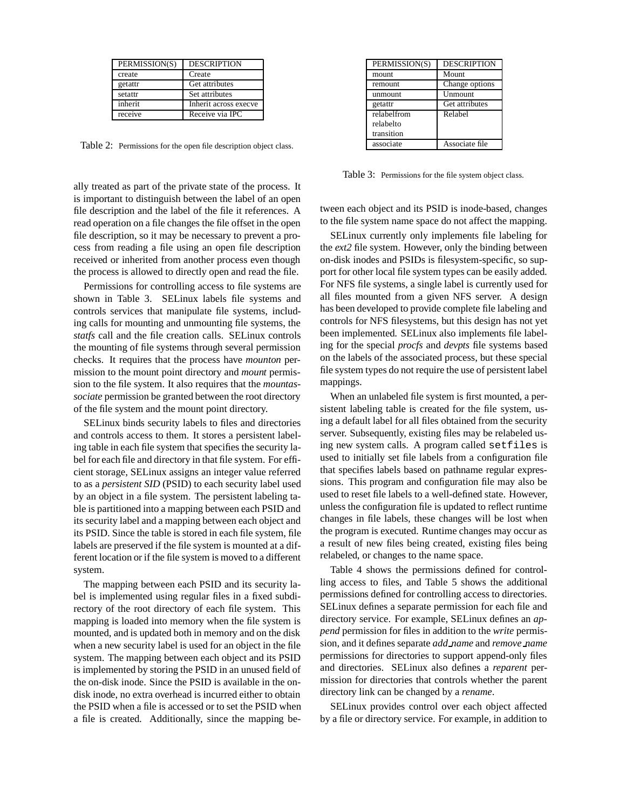| PERMISSION(S) | <b>DESCRIPTION</b>    |
|---------------|-----------------------|
| create        | Create                |
| getattr       | Get attributes        |
| setattr       | Set attributes        |
| inherit       | Inherit across execve |
| receive       | Receive via IPC       |

Table 2: Permissions for the open file description object class.

ally treated as part of the private state of the process. It is important to distinguish between the label of an open file description and the label of the file it references. A read operation on a file changes the file offset in the open file description, so it may be necessary to prevent a process from reading a file using an open file description received or inherited from another process even though the process is allowed to directly open and read the file.

Permissions for controlling access to file systems are shown in Table 3. SELinux labels file systems and controls services that manipulate file systems, including calls for mounting and unmounting file systems, the *statfs* call and the file creation calls. SELinux controls the mounting of file systems through several permission checks. It requires that the process have *mounton* permission to the mount point directory and *mount* permission to the file system. It also requires that the *mountassociate* permission be granted between the root directory of the file system and the mount point directory.

SELinux binds security labels to files and directories and controls access to them. It stores a persistent labeling table in each file system that specifies the security label for each file and directory in that file system. For efficient storage, SELinux assigns an integer value referred to as a *persistent SID* (PSID) to each security label used by an object in a file system. The persistent labeling table is partitioned into a mapping between each PSID and its security label and a mapping between each object and its PSID. Since the table is stored in each file system, file labels are preserved if the file system is mounted at a different location or if the file system is moved to a different system.

The mapping between each PSID and its security label is implemented using regular files in a fixed subdirectory of the root directory of each file system. This mapping is loaded into memory when the file system is mounted, and is updated both in memory and on the disk when a new security label is used for an object in the file system. The mapping between each object and its PSID is implemented by storing the PSID in an unused field of the on-disk inode. Since the PSID is available in the ondisk inode, no extra overhead is incurred either to obtain the PSID when a file is accessed or to set the PSID when a file is created. Additionally, since the mapping be-

| PERMISSION(S) | <b>DESCRIPTION</b> |
|---------------|--------------------|
| mount         | Mount              |
| remount       | Change options     |
| unmount       | Unmount            |
| getattr       | Get attributes     |
| relabelfrom   | Relabel            |
| relabelto     |                    |
| transition    |                    |
| associate     | Associate file     |

Table 3: Permissions for the file system object class.

tween each object and its PSID is inode-based, changes to the file system name space do not affect the mapping.

SELinux currently only implements file labeling for the *ext2* file system. However, only the binding between on-disk inodes and PSIDs is filesystem-specific, so support for other local file system types can be easily added. For NFS file systems, a single label is currently used for all files mounted from a given NFS server. A design has been developed to provide complete file labeling and controls for NFS filesystems, but this design has not yet been implemented. SELinux also implements file labeling for the special *procfs* and *devpts* file systems based on the labels of the associated process, but these special file system types do not require the use of persistent label mappings.

When an unlabeled file system is first mounted, a persistent labeling table is created for the file system, using a default label for all files obtained from the security server. Subsequently, existing files may be relabeled using new system calls. A program called setfiles is used to initially set file labels from a configuration file that specifies labels based on pathname regular expressions. This program and configuration file may also be used to reset file labels to a well-defined state. However, unless the configuration file is updated to reflect runtime changes in file labels, these changes will be lost when the program is executed. Runtime changes may occur as a result of new files being created, existing files being relabeled, or changes to the name space.

Table 4 shows the permissions defined for controlling access to files, and Table 5 shows the additional permissions defined for controlling access to directories. SELinux defines a separate permission for each file and directory service. For example, SELinux defines an *append* permission for files in addition to the *write* permission, and it defines separate *add name* and *remove name*  permissions for directories to support append-only files and directories. SELinux also defines a *reparent* permission for directories that controls whether the parent directory link can be changed by a *rename*.

SELinux provides control over each object affected by a file or directory service. For example, in addition to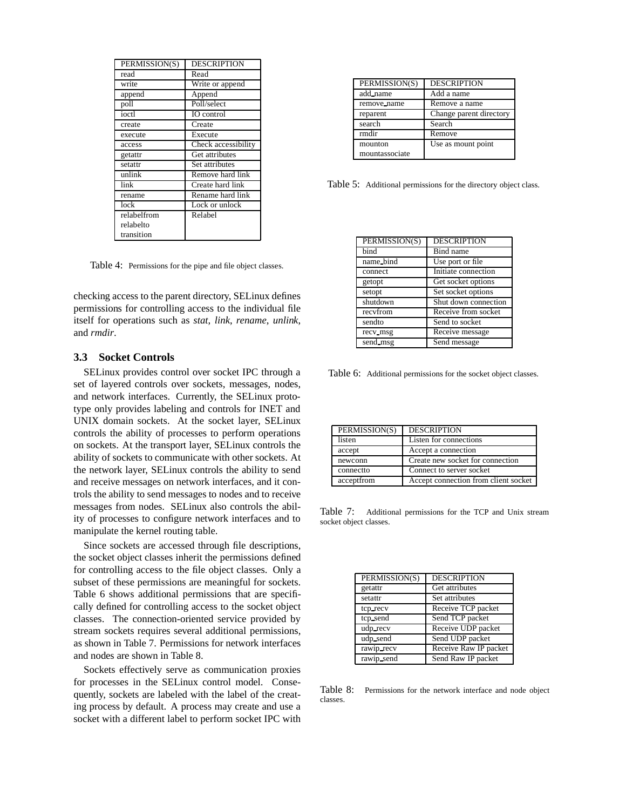| PERMISSION(S) | <b>DESCRIPTION</b>  |
|---------------|---------------------|
| read          | Read                |
| write         | Write or append     |
| append        | Append              |
| poll          | Poll/select         |
| ioctl         | IO control          |
| create        | Create              |
| execute       | Execute             |
| access        | Check accessibility |
| getattr       | Get attributes      |
| setattr       | Set attributes      |
| unlink        | Remove hard link    |
| link          | Create hard link    |
| rename        | Rename hard link    |
| lock          | Lock or unlock      |
| relabelfrom   | Relabel             |
| relabelto     |                     |
| transition    |                     |

Table 4: Permissions for the pipe and file object classes.

checking access to the parent directory, SELinux defines permissions for controlling access to the individual file itself for operations such as *stat*, *link*, *rename*, *unlink*, and *rmdir*.

#### **3.3 Socket Controls**

SELinux provides control over socket IPC through a set of layered controls over sockets, messages, nodes, and network interfaces. Currently, the SELinux prototype only provides labeling and controls for INET and UNIX domain sockets. At the socket layer, SELinux controls the ability of processes to perform operations on sockets. At the transport layer, SELinux controls the ability of sockets to communicate with other sockets. At the network layer, SELinux controls the ability to send and receive messages on network interfaces, and it controls the ability to send messages to nodes and to receive messages from nodes. SELinux also controls the ability of processes to configure network interfaces and to manipulate the kernel routing table.

Since sockets are accessed through file descriptions, the socket object classes inherit the permissions defined for controlling access to the file object classes. Only a subset of these permissions are meaningful for sockets. Table 6 shows additional permissions that are specifically defined for controlling access to the socket object classes. The connection-oriented service provided by stream sockets requires several additional permissions, as shown in Table 7. Permissions for network interfaces and nodes are shown in Table 8.

Sockets effectively serve as communication proxies for processes in the SELinux control model. Consequently, sockets are labeled with the label of the creating process by default. A process may create and use a socket with a different label to perform socket IPC with

| PERMISSION(S)  | <b>DESCRIPTION</b>      |
|----------------|-------------------------|
| add_name       | Add a name              |
| remove_name    | Remove a name           |
| reparent       | Change parent directory |
| search         | Search                  |
| rmdir          | Remove                  |
| mounton        | Use as mount point      |
| mountassociate |                         |

Table 5: Additional permissions for the directory object class.

| PERMISSION(S) | <b>DESCRIPTION</b>   |
|---------------|----------------------|
| bind          | Bind name            |
| name_bind     | Use port or file     |
| connect       | Initiate connection  |
| getopt        | Get socket options   |
| setopt        | Set socket options   |
| shutdown      | Shut down connection |
| recyfrom      | Receive from socket  |
| sendto        | Send to socket       |
| recv_msg      | Receive message      |
| send_msg      | Send message         |

Table 6: Additional permissions for the socket object classes.

| PERMISSION(S) | <b>DESCRIPTION</b>                   |
|---------------|--------------------------------------|
| listen        | Listen for connections               |
| accept        | Accept a connection                  |
| newconn       | Create new socket for connection     |
| connectto     | Connect to server socket             |
| acceptfrom    | Accept connection from client socket |

Table 7: Additional permissions for the TCP and Unix stream socket object classes.

| PERMISSION(S) | <b>DESCRIPTION</b>    |
|---------------|-----------------------|
| getattr       | Get attributes        |
| setattr       | Set attributes        |
| tcp_recv      | Receive TCP packet    |
| tcp_send      | Send TCP packet       |
| udp_recv      | Receive UDP packet    |
| udp_send      | Send UDP packet       |
| rawip_recv    | Receive Raw IP packet |
| rawip_send    | Send Raw IP packet    |

Table 8: Permissions for the network interface and node object classes.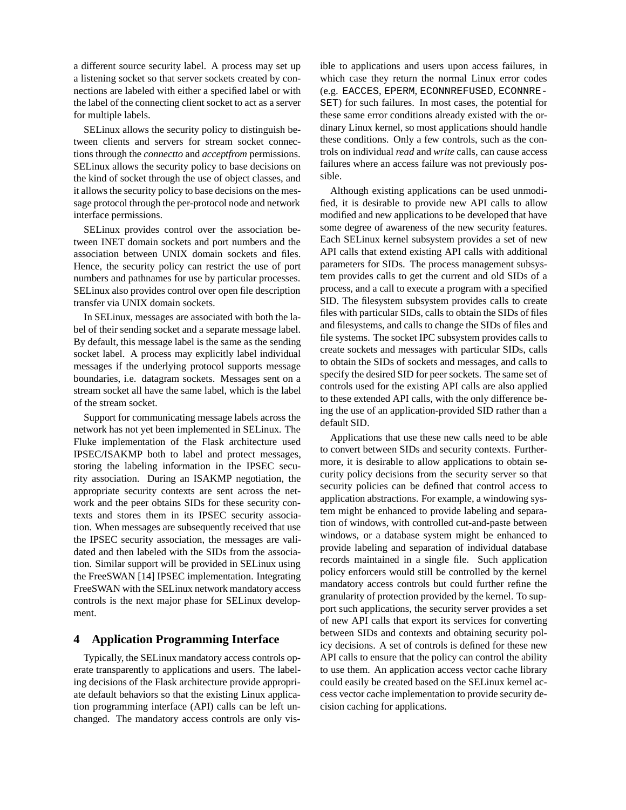a different source security label. A process may set up a listening socket so that server sockets created by connections are labeled with either a specified label or with the label of the connecting client socket to act as a server for multiple labels.

SELinux allows the security policy to distinguish between clients and servers for stream socket connections through the *connectto* and *acceptfrom* permissions. SELinux allows the security policy to base decisions on the kind of socket through the use of object classes, and it allows the security policy to base decisions on the message protocol through the per-protocol node and network interface permissions.

SELinux provides control over the association between INET domain sockets and port numbers and the association between UNIX domain sockets and files. Hence, the security policy can restrict the use of port numbers and pathnames for use by particular processes. SELinux also provides control over open file description transfer via UNIX domain sockets.

In SELinux, messages are associated with both the label of their sending socket and a separate message label. By default, this message label is the same as the sending socket label. A process may explicitly label individual messages if the underlying protocol supports message boundaries, i.e. datagram sockets. Messages sent on a stream socket all have the same label, which is the label of the stream socket.

Support for communicating message labels across the network has not yet been implemented in SELinux. The Fluke implementation of the Flask architecture used IPSEC/ISAKMP both to label and protect messages, storing the labeling information in the IPSEC security association. During an ISAKMP negotiation, the appropriate security contexts are sent across the network and the peer obtains SIDs for these security contexts and stores them in its IPSEC security association. When messages are subsequently received that use the IPSEC security association, the messages are validated and then labeled with the SIDs from the association. Similar support will be provided in SELinux using the FreeSWAN [14] IPSEC implementation. Integrating FreeSWAN with the SELinux network mandatory access controls is the next major phase for SELinux development.

## **4 Application Programming Interface**

Typically, the SELinux mandatory access controls operate transparently to applications and users. The labeling decisions of the Flask architecture provide appropriate default behaviors so that the existing Linux application programming interface (API) calls can be left unchanged. The mandatory access controls are only visible to applications and users upon access failures, in which case they return the normal Linux error codes (e.g. EACCES, EPERM, ECONNREFUSED, ECONNRE-SET) for such failures. In most cases, the potential for these same error conditions already existed with the ordinary Linux kernel, so most applications should handle these conditions. Only a few controls, such as the controls on individual *read* and *write* calls, can cause access failures where an access failure was not previously possible.

Although existing applications can be used unmodified, it is desirable to provide new API calls to allow modified and new applications to be developed that have some degree of awareness of the new security features. Each SELinux kernel subsystem provides a set of new API calls that extend existing API calls with additional parameters for SIDs. The process management subsystem provides calls to get the current and old SIDs of a process, and a call to execute a program with a specified SID. The filesystem subsystem provides calls to create files with particular SIDs, calls to obtain the SIDs of files and filesystems, and calls to change the SIDs of files and file systems. The socket IPC subsystem provides calls to create sockets and messages with particular SIDs, calls to obtain the SIDs of sockets and messages, and calls to specify the desired SID for peer sockets. The same set of controls used for the existing API calls are also applied to these extended API calls, with the only difference being the use of an application-provided SID rather than a default SID.

Applications that use these new calls need to be able to convert between SIDs and security contexts. Furthermore, it is desirable to allow applications to obtain security policy decisions from the security server so that security policies can be defined that control access to application abstractions. For example, a windowing system might be enhanced to provide labeling and separation of windows, with controlled cut-and-paste between windows, or a database system might be enhanced to provide labeling and separation of individual database records maintained in a single file. Such application policy enforcers would still be controlled by the kernel mandatory access controls but could further refine the granularity of protection provided by the kernel. To support such applications, the security server provides a set of new API calls that export its services for converting between SIDs and contexts and obtaining security policy decisions. A set of controls is defined for these new API calls to ensure that the policy can control the ability to use them. An application access vector cache library could easily be created based on the SELinux kernel access vector cache implementation to provide security decision caching for applications.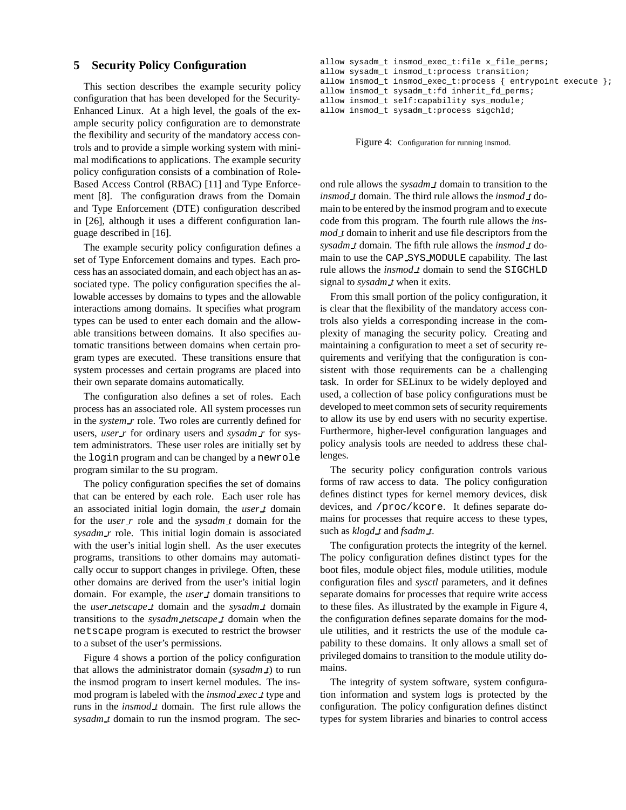## **5 Security Policy Configuration**

This section describes the example security policy configuration that has been developed for the Security-Enhanced Linux. At a high level, the goals of the example security policy configuration are to demonstrate the flexibility and security of the mandatory access controls and to provide a simple working system with minimal modifications to applications. The example security policy configuration consists of a combination of Role-Based Access Control (RBAC) [11] and Type Enforcement [8]. The configuration draws from the Domain and Type Enforcement (DTE) configuration described in [26], although it uses a different configuration language described in [16].

The example security policy configuration defines a set of Type Enforcement domains and types. Each process has an associated domain, and each object has an associated type. The policy configuration specifies the allowable accesses by domains to types and the allowable interactions among domains. It specifies what program types can be used to enter each domain and the allowable transitions between domains. It also specifies automatic transitions between domains when certain program types are executed. These transitions ensure that system processes and certain programs are placed into their own separate domains automatically.

The configuration also defines a set of roles. Each process has an associated role. All system processes run in the *system r* role. Two roles are currently defined for users, *user r* for ordinary users and *sysadm r* for system administrators. These user roles are initially set by the login program and can be changed by a newrole program similar to the su program.

The policy configuration specifies the set of domains that can be entered by each role. Each user role has an associated initial login domain, the *user t* domain for the *user r* role and the *sysadm t* domain for the *sysadm r* role. This initial login domain is associated with the user's initial login shell. As the user executes programs, transitions to other domains may automatically occur to support changes in privilege. Often, these other domains are derived from the user's initial login domain. For example, the *user t* domain transitions to the *user netscape t* domain and the *sysadm t* domain transitions to the *sysadm netscape t* domain when the netscape program is executed to restrict the browser to a subset of the user's permissions.

Figure 4 shows a portion of the policy configuration that allows the administrator domain (*sysadm t*) to run the insmod program to insert kernel modules. The insmod program is labeled with the *insmod exec t* type and runs in the *insmod t* domain. The first rule allows the *sysadm t* domain to run the insmod program. The sec-

```
allow sysadm_t insmod_exec_t:file x_file_perms;
allow sysadm_t insmod_t:process transition;
allow insmod_t insmod_exec_t:process { entrypoint execute };
allow insmod_t sysadm_t:fd inherit_fd_perms;
allow insmod_t self:capability sys_module;
allow insmod_t sysadm_t:process sigchld;
```
Figure 4: Configuration for running insmod.

ond rule allows the *sysadm t* domain to transition to the *insmod t* domain. The third rule allows the *insmod t* domain to be entered by the insmod program and to execute code from this program. The fourth rule allows the *insmod t* domain to inherit and use file descriptors from the *sysadm t* domain. The fifth rule allows the *insmod t* domain to use the CAP SYS MODULE capability. The last rule allows the *insmod t* domain to send the SIGCHLD signal to *sysadm\_t* when it exits.

From this small portion of the policy configuration, it is clear that the flexibility of the mandatory access controls also yields a corresponding increase in the complexity of managing the security policy. Creating and maintaining a configuration to meet a set of security requirements and verifying that the configuration is consistent with those requirements can be a challenging task. In order for SELinux to be widely deployed and used, a collection of base policy configurations must be developed to meet common sets of security requirements to allow its use by end users with no security expertise. Furthermore, higher-level configuration languages and policy analysis tools are needed to address these challenges.

The security policy configuration controls various forms of raw access to data. The policy configuration defines distinct types for kernel memory devices, disk devices, and /proc/kcore. It defines separate domains for processes that require access to these types, such as *klogd t* and *fsadm t*.

The configuration protects the integrity of the kernel. The policy configuration defines distinct types for the boot files, module object files, module utilities, module configuration files and *sysctl* parameters, and it defines separate domains for processes that require write access to these files. As illustrated by the example in Figure 4, the configuration defines separate domains for the module utilities, and it restricts the use of the module capability to these domains. It only allows a small set of privileged domains to transition to the module utility domains.

The integrity of system software, system configuration information and system logs is protected by the configuration. The policy configuration defines distinct types for system libraries and binaries to control access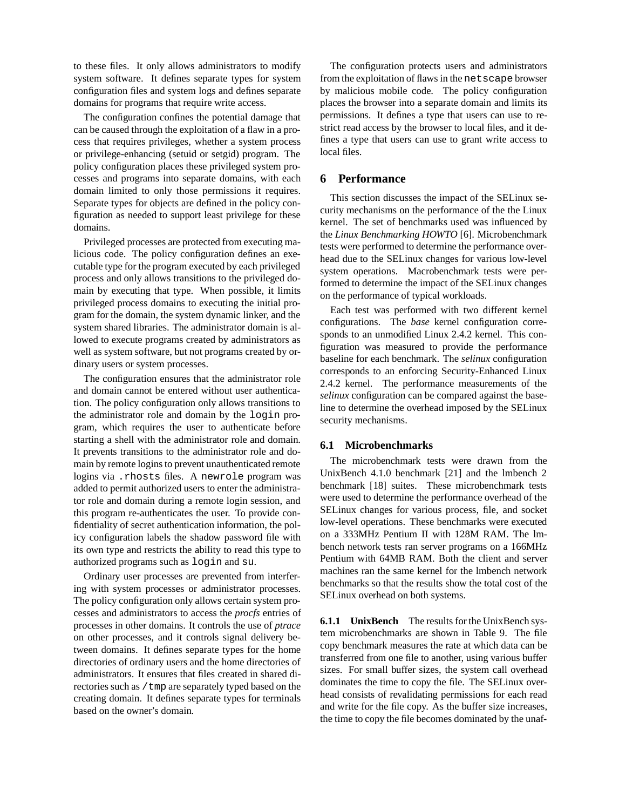to these files. It only allows administrators to modify system software. It defines separate types for system configuration files and system logs and defines separate domains for programs that require write access.

The configuration confines the potential damage that can be caused through the exploitation of a flaw in a process that requires privileges, whether a system process or privilege-enhancing (setuid or setgid) program. The policy configuration places these privileged system processes and programs into separate domains, with each domain limited to only those permissions it requires. Separate types for objects are defined in the policy configuration as needed to support least privilege for these domains.

Privileged processes are protected from executing malicious code. The policy configuration defines an executable type for the program executed by each privileged process and only allows transitions to the privileged domain by executing that type. When possible, it limits privileged process domains to executing the initial program for the domain, the system dynamic linker, and the system shared libraries. The administrator domain is allowed to execute programs created by administrators as well as system software, but not programs created by ordinary users or system processes.

The configuration ensures that the administrator role and domain cannot be entered without user authentication. The policy configuration only allows transitions to the administrator role and domain by the login program, which requires the user to authenticate before starting a shell with the administrator role and domain. It prevents transitions to the administrator role and domain by remote logins to prevent unauthenticated remote logins via .rhosts files. A newrole program was added to permit authorized users to enter the administrator role and domain during a remote login session, and this program re-authenticates the user. To provide confidentiality of secret authentication information, the policy configuration labels the shadow password file with its own type and restricts the ability to read this type to authorized programs such as login and su.

Ordinary user processes are prevented from interfering with system processes or administrator processes. The policy configuration only allows certain system processes and administrators to access the *procfs* entries of processes in other domains. It controls the use of *ptrace*  on other processes, and it controls signal delivery between domains. It defines separate types for the home directories of ordinary users and the home directories of administrators. It ensures that files created in shared directories such as /tmp are separately typed based on the creating domain. It defines separate types for terminals based on the owner's domain.

The configuration protects users and administrators from the exploitation of flaws in the netscape browser by malicious mobile code. The policy configuration places the browser into a separate domain and limits its permissions. It defines a type that users can use to restrict read access by the browser to local files, and it defines a type that users can use to grant write access to local files.

## **6 Performance**

This section discusses the impact of the SELinux security mechanisms on the performance of the the Linux kernel. The set of benchmarks used was influenced by the *Linux Benchmarking HOWTO* [6]. Microbenchmark tests were performed to determine the performance overhead due to the SELinux changes for various low-level system operations. Macrobenchmark tests were performed to determine the impact of the SELinux changes on the performance of typical workloads.

Each test was performed with two different kernel configurations. The *base* kernel configuration corresponds to an unmodified Linux 2.4.2 kernel. This configuration was measured to provide the performance baseline for each benchmark. The *selinux* configuration corresponds to an enforcing Security-Enhanced Linux 2.4.2 kernel. The performance measurements of the *selinux* configuration can be compared against the baseline to determine the overhead imposed by the SELinux security mechanisms.

#### **6.1 Microbenchmarks**

The microbenchmark tests were drawn from the UnixBench 4.1.0 benchmark [21] and the lmbench 2 benchmark [18] suites. These microbenchmark tests were used to determine the performance overhead of the SELinux changes for various process, file, and socket low-level operations. These benchmarks were executed on a 333MHz Pentium II with 128M RAM. The lmbench network tests ran server programs on a 166MHz Pentium with 64MB RAM. Both the client and server machines ran the same kernel for the lmbench network benchmarks so that the results show the total cost of the SELinux overhead on both systems.

**6.1.1 UnixBench** The results for the UnixBench system microbenchmarks are shown in Table 9. The file copy benchmark measures the rate at which data can be transferred from one file to another, using various buffer sizes. For small buffer sizes, the system call overhead dominates the time to copy the file. The SELinux overhead consists of revalidating permissions for each read and write for the file copy. As the buffer size increases, the time to copy the file becomes dominated by the unaf-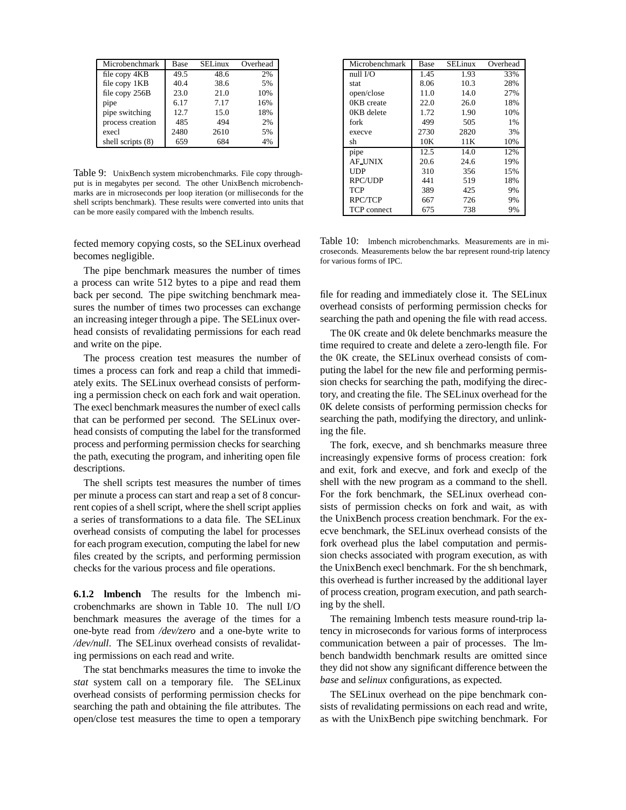| Microbenchmark    | Base | <b>SEL</b> inux | Overhead |
|-------------------|------|-----------------|----------|
| file copy 4KB     | 49.5 | 48.6            | 2%       |
| file copy 1KB     | 40.4 | 38.6            | 5%       |
| file copy 256B    | 23.0 | 21.0            | 10%      |
| pipe              | 6.17 | 7.17            | 16%      |
| pipe switching    | 12.7 | 15.0            | 18%      |
| process creation  | 485  | 494             | 2%       |
| execl             | 2480 | 2610            | 5%       |
| shell scripts (8) | 659  | 684             | 4%       |

Table 9: UnixBench system microbenchmarks. File copy throughput is in megabytes per second. The other UnixBench microbenchmarks are in microseconds per loop iteration (or milliseconds for the shell scripts benchmark). These results were converted into units that can be more easily compared with the lmbench results.

fected memory copying costs, so the SELinux overhead becomes negligible.

The pipe benchmark measures the number of times a process can write 512 bytes to a pipe and read them back per second. The pipe switching benchmark measures the number of times two processes can exchange an increasing integer through a pipe. The SELinux overhead consists of revalidating permissions for each read and write on the pipe.

The process creation test measures the number of times a process can fork and reap a child that immediately exits. The SELinux overhead consists of performing a permission check on each fork and wait operation. The execl benchmark measures the number of execl calls that can be performed per second. The SELinux overhead consists of computing the label for the transformed process and performing permission checks for searching the path, executing the program, and inheriting open file descriptions.

The shell scripts test measures the number of times per minute a process can start and reap a set of 8 concurrent copies of a shell script, where the shell script applies a series of transformations to a data file. The SELinux overhead consists of computing the label for processes for each program execution, computing the label for new files created by the scripts, and performing permission checks for the various process and file operations.

**6.1.2 lmbench** The results for the lmbench microbenchmarks are shown in Table 10. The null I/O benchmark measures the average of the times for a one-byte read from */dev/zero* and a one-byte write to */dev/null*. The SELinux overhead consists of revalidating permissions on each read and write.

The stat benchmarks measures the time to invoke the *stat* system call on a temporary file. The SELinux overhead consists of performing permission checks for searching the path and obtaining the file attributes. The open/close test measures the time to open a temporary

| Microbenchmark | Base | SELinux | Overhead |
|----------------|------|---------|----------|
| null I/O       | 1.45 | 1.93    | 33%      |
| stat           | 8.06 | 10.3    | 28%      |
| open/close     | 11.0 | 14.0    | 27%      |
| 0KB create     | 22.0 | 26.0    | 18%      |
| 0KB delete     | 1.72 | 1.90    | 10%      |
| fork           | 499  | 505     | 1%       |
| execve         | 2730 | 2820    | 3%       |
| sh             | 10K  | 11K     | 10%      |
| pipe           | 12.5 | 14.0    | 12%      |
| <b>AF_UNIX</b> | 20.6 | 24.6    | 19%      |
| UDP            | 310  | 356     | 15%      |
| <b>RPC/UDP</b> | 441  | 519     | 18%      |
| <b>TCP</b>     | 389  | 425     | 9%       |
| <b>RPC/TCP</b> | 667  | 726     | 9%       |
| TCP connect    | 675  | 738     | 9%       |

Table 10: lmbench microbenchmarks. Measurements are in microseconds. Measurements below the bar represent round-trip latency for various forms of IPC.

file for reading and immediately close it. The SELinux overhead consists of performing permission checks for searching the path and opening the file with read access.

The 0K create and 0k delete benchmarks measure the time required to create and delete a zero-length file. For the 0K create, the SELinux overhead consists of computing the label for the new file and performing permission checks for searching the path, modifying the directory, and creating the file. The SELinux overhead for the 0K delete consists of performing permission checks for searching the path, modifying the directory, and unlinking the file.

The fork, execve, and sh benchmarks measure three increasingly expensive forms of process creation: fork and exit, fork and execve, and fork and execlp of the shell with the new program as a command to the shell. For the fork benchmark, the SELinux overhead consists of permission checks on fork and wait, as with the UnixBench process creation benchmark. For the execve benchmark, the SELinux overhead consists of the fork overhead plus the label computation and permission checks associated with program execution, as with the UnixBench execl benchmark. For the sh benchmark, this overhead is further increased by the additional layer of process creation, program execution, and path searching by the shell.

The remaining lmbench tests measure round-trip latency in microseconds for various forms of interprocess communication between a pair of processes. The lmbench bandwidth benchmark results are omitted since they did not show any significant difference between the *base* and *selinux* configurations, as expected.

The SELinux overhead on the pipe benchmark consists of revalidating permissions on each read and write, as with the UnixBench pipe switching benchmark. For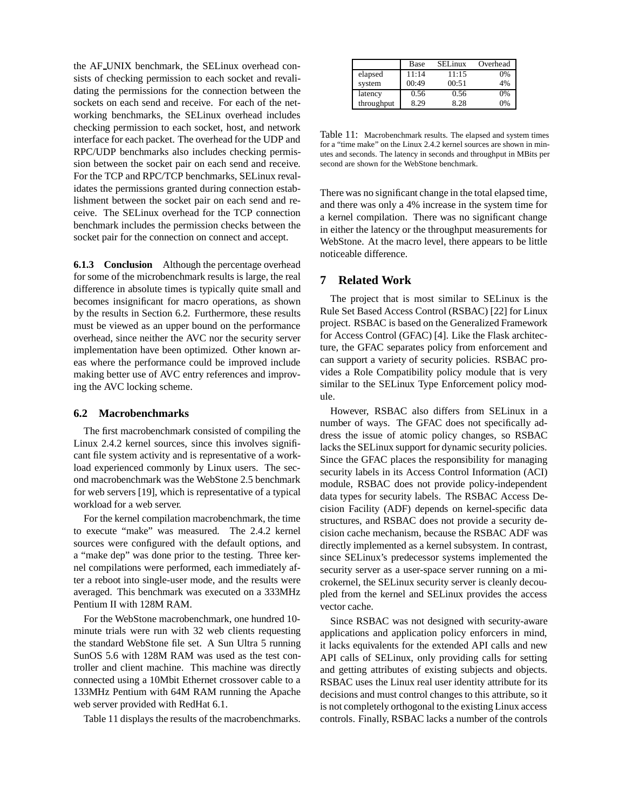the AF UNIX benchmark, the SELinux overhead consists of checking permission to each socket and revalidating the permissions for the connection between the sockets on each send and receive. For each of the networking benchmarks, the SELinux overhead includes checking permission to each socket, host, and network interface for each packet. The overhead for the UDP and RPC/UDP benchmarks also includes checking permission between the socket pair on each send and receive. For the TCP and RPC/TCP benchmarks, SELinux revalidates the permissions granted during connection establishment between the socket pair on each send and receive. The SELinux overhead for the TCP connection benchmark includes the permission checks between the socket pair for the connection on connect and accept.

**6.1.3 Conclusion** Although the percentage overhead for some of the microbenchmark results is large, the real difference in absolute times is typically quite small and becomes insignificant for macro operations, as shown by the results in Section 6.2. Furthermore, these results must be viewed as an upper bound on the performance overhead, since neither the AVC nor the security server implementation have been optimized. Other known areas where the performance could be improved include making better use of AVC entry references and improving the AVC locking scheme.

#### **6.2 Macrobenchmarks**

The first macrobenchmark consisted of compiling the Linux 2.4.2 kernel sources, since this involves significant file system activity and is representative of a workload experienced commonly by Linux users. The second macrobenchmark was the WebStone 2.5 benchmark for web servers [19], which is representative of a typical workload for a web server.

For the kernel compilation macrobenchmark, the time to execute "make" was measured. The 2.4.2 kernel sources were configured with the default options, and a "make dep" was done prior to the testing. Three kernel compilations were performed, each immediately after a reboot into single-user mode, and the results were averaged. This benchmark was executed on a 333MHz Pentium II with 128M RAM.

For the WebStone macrobenchmark, one hundred 10 minute trials were run with 32 web clients requesting the standard WebStone file set. A Sun Ultra 5 running SunOS 5.6 with 128M RAM was used as the test controller and client machine. This machine was directly connected using a 10Mbit Ethernet crossover cable to a 133MHz Pentium with 64M RAM running the Apache web server provided with RedHat 6.1.

Table 11 displays the results of the macrobenchmarks.

|            | Base  | SELinux | Overhead |
|------------|-------|---------|----------|
| elapsed    | 11:14 | 11:15   | 0%       |
| system     | 00:49 | 00:51   | 4%       |
| latency    | 0.56  | 0.56    | 0%       |
| throughput | 8.29  | 8.28    | 0%       |

Table 11: Macrobenchmark results. The elapsed and system times for a "time make" on the Linux 2.4.2 kernel sources are shown in minutes and seconds. The latency in seconds and throughput in MBits per second are shown for the WebStone benchmark.

There was no significant change in the total elapsed time, and there was only a 4% increase in the system time for a kernel compilation. There was no significant change in either the latency or the throughput measurements for WebStone. At the macro level, there appears to be little noticeable difference.

# **7 Related Work**

The project that is most similar to SELinux is the Rule Set Based Access Control (RSBAC) [22] for Linux project. RSBAC is based on the Generalized Framework for Access Control (GFAC) [4]. Like the Flask architecture, the GFAC separates policy from enforcement and can support a variety of security policies. RSBAC provides a Role Compatibility policy module that is very similar to the SELinux Type Enforcement policy module.

However, RSBAC also differs from SELinux in a number of ways. The GFAC does not specifically address the issue of atomic policy changes, so RSBAC lacks the SELinux support for dynamic security policies. Since the GFAC places the responsibility for managing security labels in its Access Control Information (ACI) module, RSBAC does not provide policy-independent data types for security labels. The RSBAC Access Decision Facility (ADF) depends on kernel-specific data structures, and RSBAC does not provide a security decision cache mechanism, because the RSBAC ADF was directly implemented as a kernel subsystem. In contrast, since SELinux's predecessor systems implemented the security server as a user-space server running on a microkernel, the SELinux security server is cleanly decoupled from the kernel and SELinux provides the access vector cache.

Since RSBAC was not designed with security-aware applications and application policy enforcers in mind, it lacks equivalents for the extended API calls and new API calls of SELinux, only providing calls for setting and getting attributes of existing subjects and objects. RSBAC uses the Linux real user identity attribute for its decisions and must control changes to this attribute, so it is not completely orthogonal to the existing Linux access controls. Finally, RSBAC lacks a number of the controls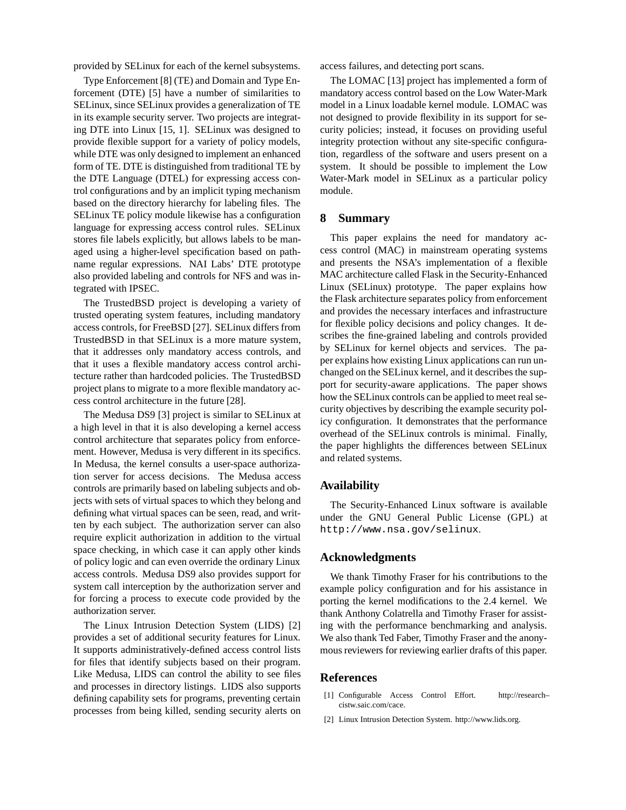provided by SELinux for each of the kernel subsystems.

Type Enforcement [8] (TE) and Domain and Type Enforcement (DTE) [5] have a number of similarities to SELinux, since SELinux provides a generalization of TE in its example security server. Two projects are integrating DTE into Linux [15, 1]. SELinux was designed to provide flexible support for a variety of policy models, while DTE was only designed to implement an enhanced form of TE. DTE is distinguished from traditional TE by the DTE Language (DTEL) for expressing access control configurations and by an implicit typing mechanism based on the directory hierarchy for labeling files. The SELinux TE policy module likewise has a configuration language for expressing access control rules. SELinux stores file labels explicitly, but allows labels to be managed using a higher-level specification based on pathname regular expressions. NAI Labs' DTE prototype also provided labeling and controls for NFS and was integrated with IPSEC.

The TrustedBSD project is developing a variety of trusted operating system features, including mandatory access controls, for FreeBSD [27]. SELinux differs from TrustedBSD in that SELinux is a more mature system, that it addresses only mandatory access controls, and that it uses a flexible mandatory access control architecture rather than hardcoded policies. The TrustedBSD project plans to migrate to a more flexible mandatory access control architecture in the future [28].

The Medusa DS9 [3] project is similar to SELinux at a high level in that it is also developing a kernel access control architecture that separates policy from enforcement. However, Medusa is very different in its specifics. In Medusa, the kernel consults a user-space authorization server for access decisions. The Medusa access controls are primarily based on labeling subjects and objects with sets of virtual spaces to which they belong and defining what virtual spaces can be seen, read, and written by each subject. The authorization server can also require explicit authorization in addition to the virtual space checking, in which case it can apply other kinds of policy logic and can even override the ordinary Linux access controls. Medusa DS9 also provides support for system call interception by the authorization server and for forcing a process to execute code provided by the authorization server.

The Linux Intrusion Detection System (LIDS) [2] provides a set of additional security features for Linux. It supports administratively-defined access control lists for files that identify subjects based on their program. Like Medusa, LIDS can control the ability to see files and processes in directory listings. LIDS also supports defining capability sets for programs, preventing certain processes from being killed, sending security alerts on access failures, and detecting port scans.

The LOMAC [13] project has implemented a form of mandatory access control based on the Low Water-Mark model in a Linux loadable kernel module. LOMAC was not designed to provide flexibility in its support for security policies; instead, it focuses on providing useful integrity protection without any site-specific configuration, regardless of the software and users present on a system. It should be possible to implement the Low Water-Mark model in SELinux as a particular policy module.

## **8 Summary**

This paper explains the need for mandatory access control (MAC) in mainstream operating systems and presents the NSA's implementation of a flexible MAC architecture called Flask in the Security-Enhanced Linux (SELinux) prototype. The paper explains how the Flask architecture separates policy from enforcement and provides the necessary interfaces and infrastructure for flexible policy decisions and policy changes. It describes the fine-grained labeling and controls provided by SELinux for kernel objects and services. The paper explains how existing Linux applications can run unchanged on the SELinux kernel, and it describes the support for security-aware applications. The paper shows how the SELinux controls can be applied to meet real security objectives by describing the example security policy configuration. It demonstrates that the performance overhead of the SELinux controls is minimal. Finally, the paper highlights the differences between SELinux and related systems.

#### **Availability**

The Security-Enhanced Linux software is available under the GNU General Public License (GPL) at http://www.nsa.gov/selinux.

#### **Acknowledgments**

We thank Timothy Fraser for his contributions to the example policy configuration and for his assistance in porting the kernel modifications to the 2.4 kernel. We thank Anthony Colatrella and Timothy Fraser for assisting with the performance benchmarking and analysis. We also thank Ted Faber, Timothy Fraser and the anonymous reviewers for reviewing earlier drafts of this paper.

## **References**

- [1] Configurable Access Control Effort. http://research– cistw.saic.com/cace.
- [2] Linux Intrusion Detection System. http://www.lids.org.